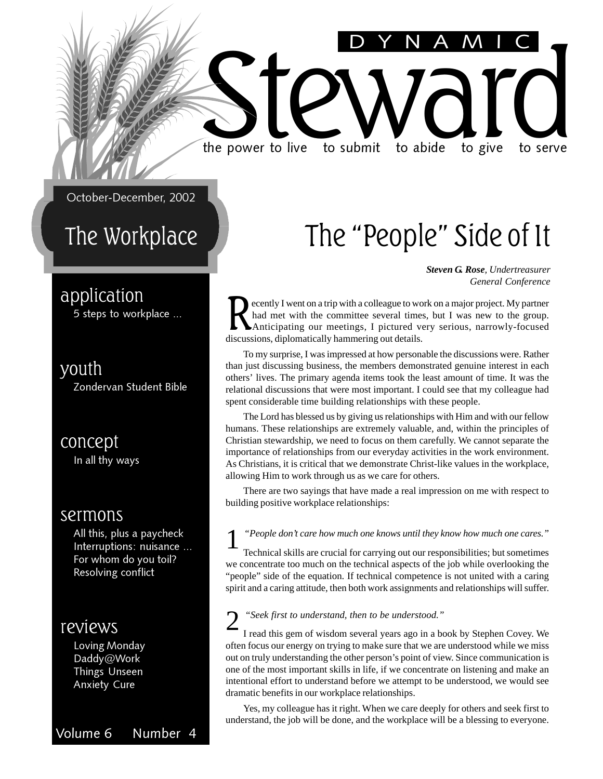# Steward live to submit to abide to give to serve the power to live to submit to abide to give to serve

October-December, 2002

### The Workplace

#### application

5 steps to workplace ...

### youth

Zondervan Student Bible

concept In all thy ways

#### sermons

All this, plus a paycheck Interruptions: nuisance ... For whom do you toil? Resolving conflict

#### reviews

Loving Monday Daddy@Work Things Unseen Anxiety Cure

#### Volume 6 Number 4

## The "People" Side of It

DYNAMIC

*Steven G. Rose, Undertreasurer General Conference*

ecently I went on a trip with a colleague to work on a major project. My partner had met with the committee several times, but I was new to the group. Anticipating our meetings, I pictured very serious, narrowly-focused discussions, diplomatically hammering out details.

To my surprise, I was impressed at how personable the discussions were. Rather than just discussing business, the members demonstrated genuine interest in each others' lives. The primary agenda items took the least amount of time. It was the relational discussions that were most important. I could see that my colleague had spent considerable time building relationships with these people.

The Lord has blessed us by giving us relationships with Him and with our fellow humans. These relationships are extremely valuable, and, within the principles of Christian stewardship, we need to focus on them carefully. We cannot separate the importance of relationships from our everyday activities in the work environment. As Christians, it is critical that we demonstrate Christ-like values in the workplace, allowing Him to work through us as we care for others.

There are two sayings that have made a real impression on me with respect to building positive workplace relationships:

#### 1 *"People don't care how much one knows until they know how much one cares."*

Technical skills are crucial for carrying out our responsibilities; but sometimes we concentrate too much on the technical aspects of the job while overlooking the "people" side of the equation. If technical competence is not united with a caring spirit and a caring attitude, then both work assignments and relationships will suffer.

#### 2 *"Seek first to understand, then to be understood."*

I read this gem of wisdom several years ago in a book by Stephen Covey. We often focus our energy on trying to make sure that we are understood while we miss out on truly understanding the other person's point of view. Since communication is one of the most important skills in life, if we concentrate on listening and make an intentional effort to understand before we attempt to be understood, we would see dramatic benefits in our workplace relationships.

Yes, my colleague has it right. When we care deeply for others and seek first to understand, the job will be done, and the workplace will be a blessing to everyone.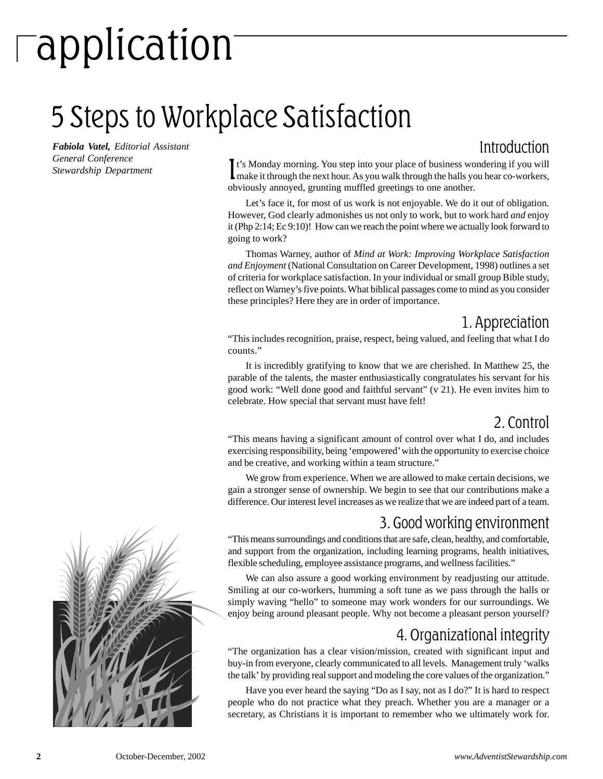# application

## 5 Steps to Workplace Satisfaction

*Fabiola Vatel, Editorial Assistant General Conference Stewardship Department*

#### Introduction

It's Monday morning. You step into your place of business wondering if you will make it through the next hour. As you walk through the halls you hear co-workers, t's Monday morning. You step into your place of business wondering if you will obviously annoyed, grunting muffled greetings to one another.

Let's face it, for most of us work is not enjoyable. We do it out of obligation. However, God clearly admonishes us not only to work, but to work hard *and* enjoy it (Php 2:14; Ec 9:10)! How can we reach the point where we actually look forward to going to work?

Thomas Warney, author of *Mind at Work: Improving Workplace Satisfaction and Enjoyment* (National Consultation on Career Development, 1998) outlines a set of criteria for workplace satisfaction. In your individual or small group Bible study, reflect on Warney's five points. What biblical passages come to mind as you consider these principles? Here they are in order of importance.

#### 1. Appreciation

"This includes recognition, praise, respect, being valued, and feeling that what I do counts."

It is incredibly gratifying to know that we are cherished. In Matthew 25, the parable of the talents, the master enthusiastically congratulates his servant for his good work: "Well done good and faithful servant" (v 21). He even invites him to celebrate. How special that servant must have felt!

#### 2. Control

"This means having a significant amount of control over what I do, and includes exercising responsibility, being 'empowered' with the opportunity to exercise choice and be creative, and working within a team structure."

We grow from experience. When we are allowed to make certain decisions, we gain a stronger sense of ownership. We begin to see that our contributions make a difference. Our interest level increases as we realize that we are indeed part of a team.

#### 3. Good working environment

"This means surroundings and conditions that are safe, clean, healthy, and comfortable, and support from the organization, including learning programs, health initiatives, flexible scheduling, employee assistance programs, and wellness facilities."

We can also assure a good working environment by readjusting our attitude. Smiling at our co-workers, humming a soft tune as we pass through the halls or simply waving "hello" to someone may work wonders for our surroundings. We enjoy being around pleasant people. Why not become a pleasant person yourself?

#### 4. Organizational integrity

"The organization has a clear vision/mission, created with significant input and buy-in from everyone, clearly communicated to all levels. Management truly 'walks the talk' by providing real support and modeling the core values of the organization."

Have you ever heard the saying "Do as I say, not as I do?" It is hard to respect people who do not practice what they preach. Whether you are a manager or a secretary, as Christians it is important to remember who we ultimately work for.

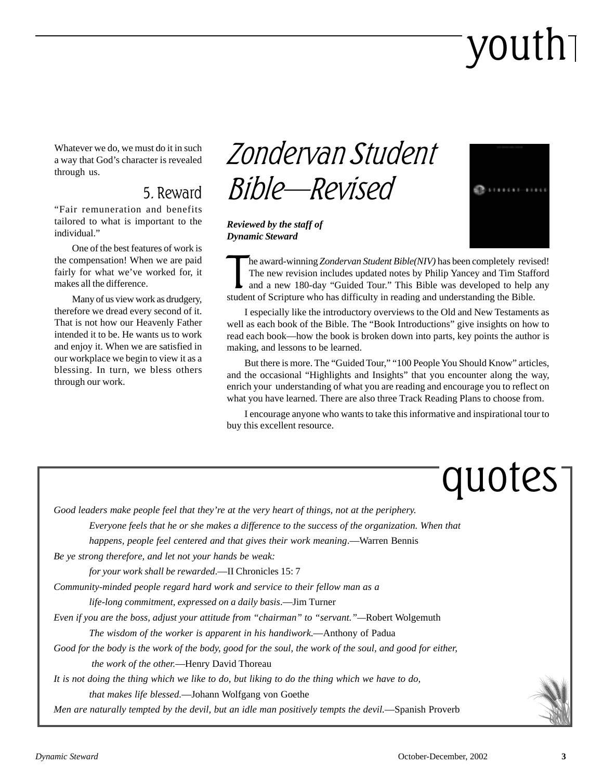# youth

Whatever we do, we must do it in such a way that God's character is revealed through us.

#### 5. Reward

"Fair remuneration and benefits tailored to what is important to the individual."

One of the best features of work is the compensation! When we are paid fairly for what we've worked for, it makes all the difference.

Many of us view work as drudgery, therefore we dread every second of it. That is not how our Heavenly Father intended it to be. He wants us to work and enjoy it. When we are satisfied in our workplace we begin to view it as a blessing. In turn, we bless others through our work.

### Zondervan Student Bible—Revised

*Reviewed by the staff of Dynamic Steward*



The award-winning Zondervan Student Bible(NIV) has been completely revised.<br>The new revision includes updated notes by Philip Yancey and Tim Staff<br>and a new 180-day "Guided Tour." This Bible was developed to help<br>student o he award-winning *Zondervan Student Bible(NIV)* has been completely revised! The new revision includes updated notes by Philip Yancey and Tim Stafford and a new 180-day "Guided Tour." This Bible was developed to help any

I especially like the introductory overviews to the Old and New Testaments as well as each book of the Bible. The "Book Introductions" give insights on how to read each book—how the book is broken down into parts, key points the author is making, and lessons to be learned.

But there is more. The "Guided Tour," "100 People You Should Know" articles, and the occasional "Highlights and Insights" that you encounter along the way, enrich your understanding of what you are reading and encourage you to reflect on what you have learned. There are also three Track Reading Plans to choose from.

I encourage anyone who wants to take this informative and inspirational tour to buy this excellent resource.

# quotes

*Good leaders make people feel that they're at the very heart of things, not at the periphery.*

*Everyone feels that he or she makes a difference to the success of the organization. When that*

*happens, people feel centered and that gives their work meaning*.—Warren Bennis

*Be ye strong therefore, and let not your hands be weak:*

*for your work shall be rewarded*.—II Chronicles 15: 7

*Community-minded people regard hard work and service to their fellow man as a*

*life-long commitment, expressed on a daily basis*.—Jim Turner

*Even if you are the boss, adjust your attitude from "chairman" to "servant."—*Robert Wolgemuth

*The wisdom of the worker is apparent in his handiwork*.—Anthony of Padua

*Good for the body is the work of the body, good for the soul, the work of the soul, and good for either,*

 *the work of the other.*—Henry David Thoreau

*It is not doing the thing which we like to do, but liking to do the thing which we have to do,*

*that makes life blessed.*—Johann Wolfgang von Goethe

*Men are naturally tempted by the devil, but an idle man positively tempts the devil.*—Spanish Proverb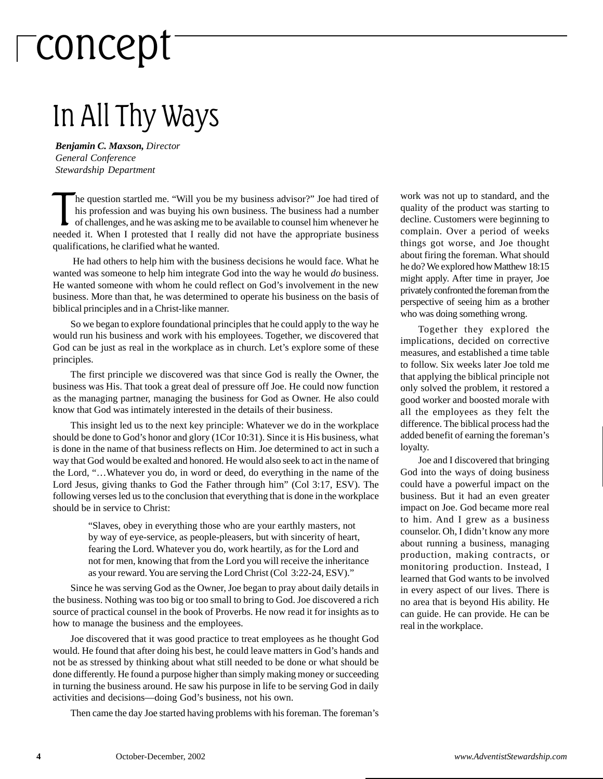# concept

### In All Thy Ways

*Benjamin C. Maxson, Director General Conference Stewardship Department*

The question startled me. "Will you be my business advisor?" Joe had tired of his profession and was buying his own business. The business had a number of challenges, and he was asking me to be available to counsel him whe he question startled me. "Will you be my business advisor?" Joe had tired of his profession and was buying his own business. The business had a number of challenges, and he was asking me to be available to counsel him whenever he qualifications, he clarified what he wanted.

 He had others to help him with the business decisions he would face. What he wanted was someone to help him integrate God into the way he would *do* business. He wanted someone with whom he could reflect on God's involvement in the new business. More than that, he was determined to operate his business on the basis of biblical principles and in a Christ-like manner.

So we began to explore foundational principles that he could apply to the way he would run his business and work with his employees. Together, we discovered that God can be just as real in the workplace as in church. Let's explore some of these principles.

The first principle we discovered was that since God is really the Owner, the business was His. That took a great deal of pressure off Joe. He could now function as the managing partner, managing the business for God as Owner. He also could know that God was intimately interested in the details of their business.

This insight led us to the next key principle: Whatever we do in the workplace should be done to God's honor and glory (1Cor 10:31). Since it is His business, what is done in the name of that business reflects on Him. Joe determined to act in such a way that God would be exalted and honored. He would also seek to act in the name of the Lord, "…Whatever you do, in word or deed, do everything in the name of the Lord Jesus, giving thanks to God the Father through him" (Col 3:17, ESV). The following verses led us to the conclusion that everything that is done in the workplace should be in service to Christ:

> "Slaves, obey in everything those who are your earthly masters, not by way of eye-service, as people-pleasers, but with sincerity of heart, fearing the Lord. Whatever you do, work heartily, as for the Lord and not for men, knowing that from the Lord you will receive the inheritance as your reward. You are serving the Lord Christ (Col 3:22-24, ESV)."

Since he was serving God as the Owner, Joe began to pray about daily details in the business. Nothing was too big or too small to bring to God. Joe discovered a rich source of practical counsel in the book of Proverbs. He now read it for insights as to how to manage the business and the employees.

Joe discovered that it was good practice to treat employees as he thought God would. He found that after doing his best, he could leave matters in God's hands and not be as stressed by thinking about what still needed to be done or what should be done differently. He found a purpose higher than simply making money or succeeding in turning the business around. He saw his purpose in life to be serving God in daily activities and decisions—doing God's business, not his own.

Then came the day Joe started having problems with his foreman. The foreman's

work was not up to standard, and the quality of the product was starting to decline. Customers were beginning to complain. Over a period of weeks things got worse, and Joe thought about firing the foreman. What should he do? We explored how Matthew 18:15 might apply. After time in prayer, Joe privately confronted the foreman from the perspective of seeing him as a brother who was doing something wrong.

Together they explored the implications, decided on corrective measures, and established a time table to follow. Six weeks later Joe told me that applying the biblical principle not only solved the problem, it restored a good worker and boosted morale with all the employees as they felt the difference. The biblical process had the added benefit of earning the foreman's loyalty.

Joe and I discovered that bringing God into the ways of doing business could have a powerful impact on the business. But it had an even greater impact on Joe. God became more real to him. And I grew as a business counselor. Oh, I didn't know any more about running a business, managing production, making contracts, or monitoring production. Instead, I learned that God wants to be involved in every aspect of our lives. There is no area that is beyond His ability. He can guide. He can provide. He can be real in the workplace.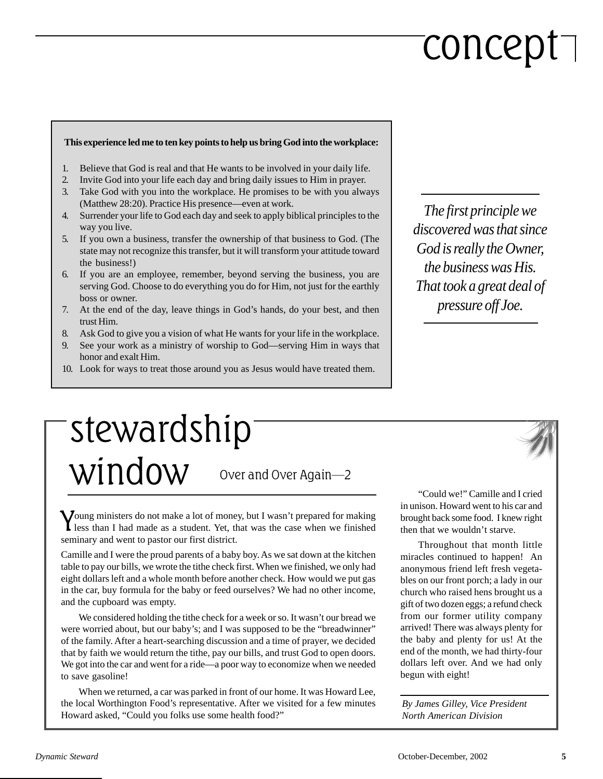# concept

#### **This experience led me to ten key points to help us bring God into the workplace:**

- 1. Believe that God is real and that He wants to be involved in your daily life.
- 2. Invite God into your life each day and bring daily issues to Him in prayer.
- 3. Take God with you into the workplace. He promises to be with you always (Matthew 28:20). Practice His presence—even at work.
- 4. Surrender your life to God each day and seek to apply biblical principles to the way you live.
- 5. If you own a business, transfer the ownership of that business to God. (The state may not recognize this transfer, but it will transform your attitude toward the business!)
- 6. If you are an employee, remember, beyond serving the business, you are serving God. Choose to do everything you do for Him, not just for the earthly boss or owner.
- 7. At the end of the day, leave things in God's hands, do your best, and then trust Him.
- 8. Ask God to give you a vision of what He wants for your life in the workplace.
- 9. See your work as a ministry of worship to God—serving Him in ways that honor and exalt Him.
- 10. Look for ways to treat those around you as Jesus would have treated them.

*The first principle we discovered was that since God is really the Owner, the business was His. That took a great deal of pressure off Joe.*

### Over and Over Again—2 stewardship window

Young ministers do not make a lot of money, but I wasn't prepared for making less than I had made as a student. Yet, that was the case when we finished seminary and went to pastor our first district.

Camille and I were the proud parents of a baby boy. As we sat down at the kitchen table to pay our bills, we wrote the tithe check first. When we finished, we only had eight dollars left and a whole month before another check. How would we put gas in the car, buy formula for the baby or feed ourselves? We had no other income, and the cupboard was empty.

We considered holding the tithe check for a week or so. It wasn't our bread we were worried about, but our baby's; and I was supposed to be the "breadwinner" of the family. After a heart-searching discussion and a time of prayer, we decided that by faith we would return the tithe, pay our bills, and trust God to open doors. We got into the car and went for a ride—a poor way to economize when we needed to save gasoline!

When we returned, a car was parked in front of our home. It was Howard Lee, the local Worthington Food's representative. After we visited for a few minutes Howard asked, "Could you folks use some health food?"

"Could we!" Camille and I cried in unison. Howard went to his car and brought back some food. I knew right then that we wouldn't starve.

Throughout that month little miracles continued to happen! An anonymous friend left fresh vegetables on our front porch; a lady in our church who raised hens brought us a gift of two dozen eggs; a refund check from our former utility company arrived! There was always plenty for the baby and plenty for us! At the end of the month, we had thirty-four dollars left over. And we had only begun with eight!

*By James Gilley, Vice President North American Division*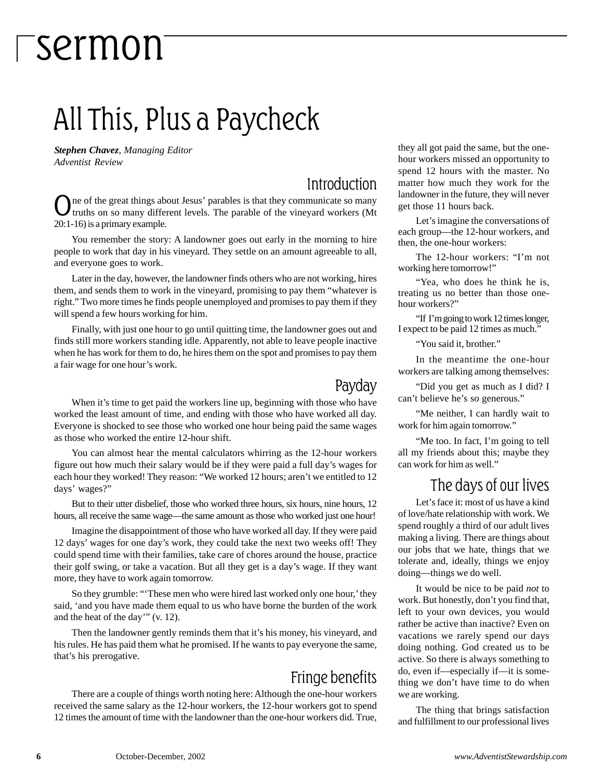### All This, Plus a Paycheck

*Stephen Chavez, Managing Editor Adventist Review*

#### Introduction

ne of the great things about Jesus' parables is that they communicate so many truths on so many different levels. The parable of the vineyard workers (Mt 20:1-16) is a primary example.

You remember the story: A landowner goes out early in the morning to hire people to work that day in his vineyard. They settle on an amount agreeable to all, and everyone goes to work.

Later in the day, however, the landowner finds others who are not working, hires them, and sends them to work in the vineyard, promising to pay them "whatever is right." Two more times he finds people unemployed and promises to pay them if they will spend a few hours working for him.

Finally, with just one hour to go until quitting time, the landowner goes out and finds still more workers standing idle. Apparently, not able to leave people inactive when he has work for them to do, he hires them on the spot and promises to pay them a fair wage for one hour's work.

#### Payday

When it's time to get paid the workers line up, beginning with those who have worked the least amount of time, and ending with those who have worked all day. Everyone is shocked to see those who worked one hour being paid the same wages as those who worked the entire 12-hour shift.

You can almost hear the mental calculators whirring as the 12-hour workers figure out how much their salary would be if they were paid a full day's wages for each hour they worked! They reason: "We worked 12 hours; aren't we entitled to 12 days' wages?"

But to their utter disbelief, those who worked three hours, six hours, nine hours, 12 hours, all receive the same wage—the same amount as those who worked just one hour!

Imagine the disappointment of those who have worked all day. If they were paid 12 days' wages for one day's work, they could take the next two weeks off! They could spend time with their families, take care of chores around the house, practice their golf swing, or take a vacation. But all they get is a day's wage. If they want more, they have to work again tomorrow.

So they grumble: "'These men who were hired last worked only one hour,' they said, 'and you have made them equal to us who have borne the burden of the work and the heat of the day'" (v. 12).

Then the landowner gently reminds them that it's his money, his vineyard, and his rules. He has paid them what he promised. If he wants to pay everyone the same, that's his prerogative.

#### Fringe benefits

There are a couple of things worth noting here: Although the one-hour workers received the same salary as the 12-hour workers, the 12-hour workers got to spend 12 times the amount of time with the landowner than the one-hour workers did. True, they all got paid the same, but the onehour workers missed an opportunity to spend 12 hours with the master. No matter how much they work for the landowner in the future, they will never get those 11 hours back.

Let's imagine the conversations of each group—the 12-hour workers, and then, the one-hour workers:

The 12-hour workers: "I'm not working here tomorrow!"

"Yea, who does he think he is, treating us no better than those onehour workers?"

"If I'm going to work 12 times longer, I expect to be paid 12 times as much."

"You said it, brother."

In the meantime the one-hour workers are talking among themselves:

"Did you get as much as I did? I can't believe he's so generous."

"Me neither, I can hardly wait to work for him again tomorrow."

"Me too. In fact, I'm going to tell all my friends about this; maybe they can work for him as well."

#### The days of our lives

Let's face it: most of us have a kind of love/hate relationship with work. We spend roughly a third of our adult lives making a living. There are things about our jobs that we hate, things that we tolerate and, ideally, things we enjoy doing—things we do well.

It would be nice to be paid *not* to work. But honestly, don't you find that, left to your own devices, you would rather be active than inactive? Even on vacations we rarely spend our days doing nothing. God created us to be active. So there is always something to do, even if—especially if—it is something we don't have time to do when we are working.

The thing that brings satisfaction and fulfillment to our professional lives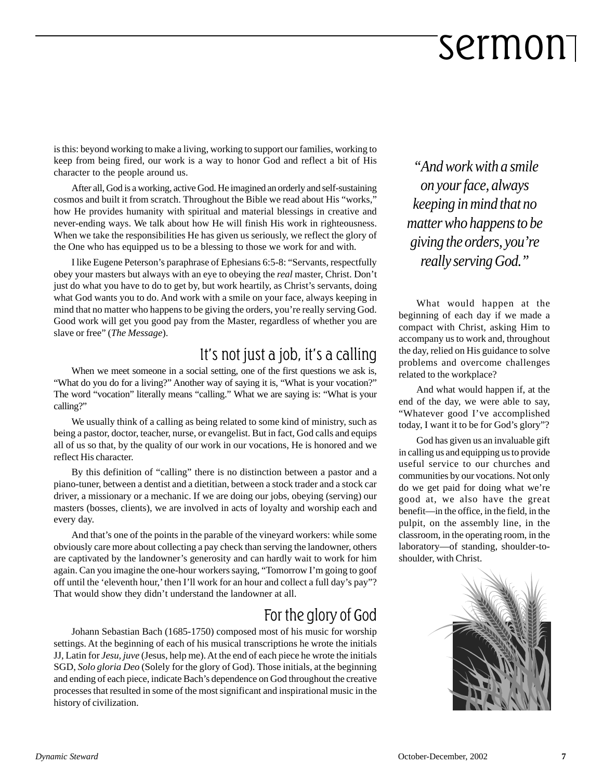is this: beyond working to make a living, working to support our families, working to keep from being fired, our work is a way to honor God and reflect a bit of His character to the people around us.

After all, God is a working, active God. He imagined an orderly and self-sustaining cosmos and built it from scratch. Throughout the Bible we read about His "works," how He provides humanity with spiritual and material blessings in creative and never-ending ways. We talk about how He will finish His work in righteousness. When we take the responsibilities He has given us seriously, we reflect the glory of the One who has equipped us to be a blessing to those we work for and with.

I like Eugene Peterson's paraphrase of Ephesians 6:5-8: "Servants, respectfully obey your masters but always with an eye to obeying the *real* master, Christ. Don't just do what you have to do to get by, but work heartily, as Christ's servants, doing what God wants you to do. And work with a smile on your face, always keeping in mind that no matter who happens to be giving the orders, you're really serving God. Good work will get you good pay from the Master, regardless of whether you are slave or free" (*The Message*).

#### It's not just a job, it's a calling

When we meet someone in a social setting, one of the first questions we ask is, "What do you do for a living?" Another way of saying it is, "What is your vocation?" The word "vocation" literally means "calling." What we are saying is: "What is your calling?"

We usually think of a calling as being related to some kind of ministry, such as being a pastor, doctor, teacher, nurse, or evangelist. But in fact, God calls and equips all of us so that, by the quality of our work in our vocations, He is honored and we reflect His character.

By this definition of "calling" there is no distinction between a pastor and a piano-tuner, between a dentist and a dietitian, between a stock trader and a stock car driver, a missionary or a mechanic. If we are doing our jobs, obeying (serving) our masters (bosses, clients), we are involved in acts of loyalty and worship each and every day.

And that's one of the points in the parable of the vineyard workers: while some obviously care more about collecting a pay check than serving the landowner, others are captivated by the landowner's generosity and can hardly wait to work for him again. Can you imagine the one-hour workers saying, "Tomorrow I'm going to goof off until the 'eleventh hour,' then I'll work for an hour and collect a full day's pay"? That would show they didn't understand the landowner at all.

#### For the glory of God

Johann Sebastian Bach (1685-1750) composed most of his music for worship settings. At the beginning of each of his musical transcriptions he wrote the initials JJ, Latin for *Jesu, juve* (Jesus, help me). At the end of each piece he wrote the initials SGD, *Solo gloria Deo* (Solely for the glory of God). Those initials, at the beginning and ending of each piece, indicate Bach's dependence on God throughout the creative processes that resulted in some of the most significant and inspirational music in the history of civilization.

 *"And work with a smile on your face, always keeping in mind that no matter who happens to be giving the orders, you're really serving God."*

What would happen at the beginning of each day if we made a compact with Christ, asking Him to accompany us to work and, throughout the day, relied on His guidance to solve problems and overcome challenges related to the workplace?

And what would happen if, at the end of the day, we were able to say, "Whatever good I've accomplished today, I want it to be for God's glory"?

God has given us an invaluable gift in calling us and equipping us to provide useful service to our churches and communities by our vocations. Not only do we get paid for doing what we're good at, we also have the great benefit—in the office, in the field, in the pulpit, on the assembly line, in the classroom, in the operating room, in the laboratory—of standing, shoulder-toshoulder, with Christ.

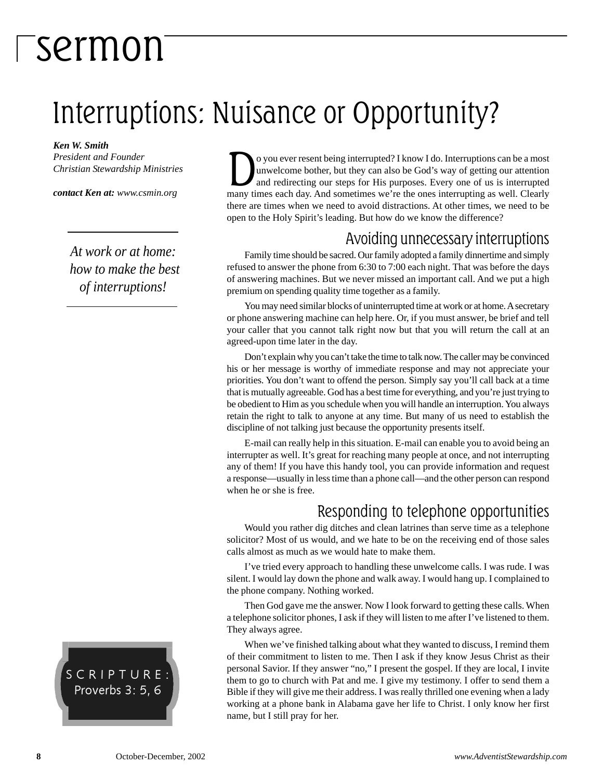## Interruptions: Nuisance or Opportunity?

*Ken W. Smith*

*President and Founder Christian Stewardship Ministries*

*contact Ken at: www.csmin.org*

*At work or at home: how to make the best of interruptions!*

SCRIPTURE: Proverbs 3: 5, 6

O you ever resent being interrupted? I know I do. Interruptions can be a most<br>unwelcome bother, but they can also be God's way of getting our attention<br>and redirecting our steps for His purposes. Every one of us is interru unwelcome bother, but they can also be God's way of getting our attention many times each day. And sometimes we're the ones interrupting as well. Clearly there are times when we need to avoid distractions. At other times, we need to be open to the Holy Spirit's leading. But how do we know the difference?

#### Avoiding unnecessary interruptions

Family time should be sacred. Our family adopted a family dinnertime and simply refused to answer the phone from 6:30 to 7:00 each night. That was before the days of answering machines. But we never missed an important call. And we put a high premium on spending quality time together as a family.

You may need similar blocks of uninterrupted time at work or at home. A secretary or phone answering machine can help here. Or, if you must answer, be brief and tell your caller that you cannot talk right now but that you will return the call at an agreed-upon time later in the day.

Don't explain why you can't take the time to talk now. The caller may be convinced his or her message is worthy of immediate response and may not appreciate your priorities. You don't want to offend the person. Simply say you'll call back at a time that is mutually agreeable. God has a best time for everything, and you're just trying to be obedient to Him as you schedule when you will handle an interruption. You always retain the right to talk to anyone at any time. But many of us need to establish the discipline of not talking just because the opportunity presents itself.

E-mail can really help in this situation. E-mail can enable you to avoid being an interrupter as well. It's great for reaching many people at once, and not interrupting any of them! If you have this handy tool, you can provide information and request a response—usually in less time than a phone call—and the other person can respond when he or she is free.

#### Responding to telephone opportunities

Would you rather dig ditches and clean latrines than serve time as a telephone solicitor? Most of us would, and we hate to be on the receiving end of those sales calls almost as much as we would hate to make them.

I've tried every approach to handling these unwelcome calls. I was rude. I was silent. I would lay down the phone and walk away. I would hang up. I complained to the phone company. Nothing worked.

Then God gave me the answer. Now I look forward to getting these calls. When a telephone solicitor phones, I ask if they will listen to me after I've listened to them. They always agree.

When we've finished talking about what they wanted to discuss, I remind them of their commitment to listen to me. Then I ask if they know Jesus Christ as their personal Savior. If they answer "no," I present the gospel. If they are local, I invite them to go to church with Pat and me. I give my testimony. I offer to send them a Bible if they will give me their address. I was really thrilled one evening when a lady working at a phone bank in Alabama gave her life to Christ. I only know her first name, but I still pray for her.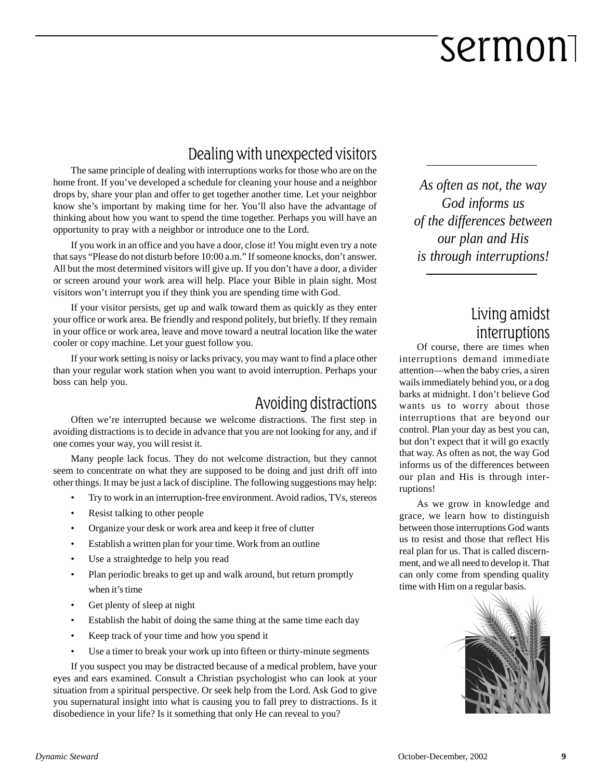#### Dealing with unexpected visitors

The same principle of dealing with interruptions works for those who are on the home front. If you've developed a schedule for cleaning your house and a neighbor drops by, share your plan and offer to get together another time. Let your neighbor know she's important by making time for her. You'll also have the advantage of thinking about how you want to spend the time together. Perhaps you will have an opportunity to pray with a neighbor or introduce one to the Lord.

If you work in an office and you have a door, close it! You might even try a note that says "Please do not disturb before 10:00 a.m." If someone knocks, don't answer. All but the most determined visitors will give up. If you don't have a door, a divider or screen around your work area will help. Place your Bible in plain sight. Most visitors won't interrupt you if they think you are spending time with God.

If your visitor persists, get up and walk toward them as quickly as they enter your office or work area. Be friendly and respond politely, but briefly. If they remain in your office or work area, leave and move toward a neutral location like the water cooler or copy machine. Let your guest follow you.

If your work setting is noisy or lacks privacy, you may want to find a place other than your regular work station when you want to avoid interruption. Perhaps your boss can help you.

#### Avoiding distractions

Often we're interrupted because we welcome distractions. The first step in avoiding distractions is to decide in advance that you are not looking for any, and if one comes your way, you will resist it.

Many people lack focus. They do not welcome distraction, but they cannot seem to concentrate on what they are supposed to be doing and just drift off into other things. It may be just a lack of discipline. The following suggestions may help:

- Try to work in an interruption-free environment. Avoid radios, TVs, stereos
- Resist talking to other people
- Organize your desk or work area and keep it free of clutter
- Establish a written plan for your time. Work from an outline
- Use a straightedge to help you read
- Plan periodic breaks to get up and walk around, but return promptly when it's time
- Get plenty of sleep at night
- Establish the habit of doing the same thing at the same time each day
- Keep track of your time and how you spend it
- Use a timer to break your work up into fifteen or thirty-minute segments

If you suspect you may be distracted because of a medical problem, have your eyes and ears examined. Consult a Christian psychologist who can look at your situation from a spiritual perspective. Or seek help from the Lord. Ask God to give you supernatural insight into what is causing you to fall prey to distractions. Is it disobedience in your life? Is it something that only He can reveal to you?

*As often as not, the way God informs us of the differences between our plan and His is through interruptions!*

#### Living amidst interruptions

Of course, there are times when interruptions demand immediate attention—when the baby cries, a siren wails immediately behind you, or a dog barks at midnight. I don't believe God wants us to worry about those interruptions that are beyond our control. Plan your day as best you can, but don't expect that it will go exactly that way. As often as not, the way God informs us of the differences between our plan and His is through interruptions!

As we grow in knowledge and grace, we learn how to distinguish between those interruptions God wants us to resist and those that reflect His real plan for us. That is called discernment, and we all need to develop it. That can only come from spending quality time with Him on a regular basis.

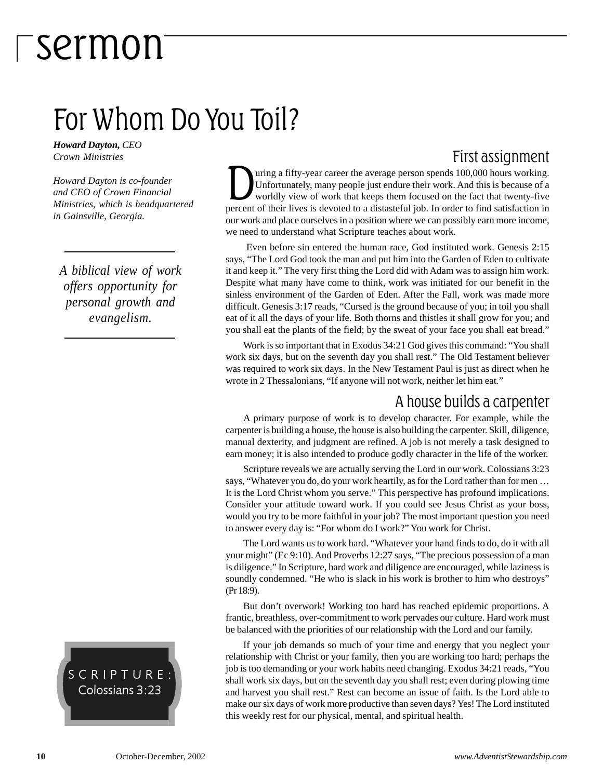### For Whom Do You Toil?

*Howard Dayton, CEO Crown Ministries*

*Howard Dayton is co-founder and CEO of Crown Financial Ministries, which is headquartered in Gainsville, Georgia.*

*A biblical view of work offers opportunity for personal growth and evangelism.*



#### First assignment

Union a fifty-year career the average person spends 100,000 hours working.<br>Unfortunately, many people just endure their work. And this is because of a<br>worldly view of work that keeps them focused on the fact that twenty-fi Unfortunately, many people just endure their work. And this is because of a worldly view of work that keeps them focused on the fact that twenty-five percent of their lives is devoted to a distasteful job. In order to find satisfaction in our work and place ourselves in a position where we can possibly earn more income, we need to understand what Scripture teaches about work.

 Even before sin entered the human race, God instituted work. Genesis 2:15 says, "The Lord God took the man and put him into the Garden of Eden to cultivate it and keep it." The very first thing the Lord did with Adam was to assign him work. Despite what many have come to think, work was initiated for our benefit in the sinless environment of the Garden of Eden. After the Fall, work was made more difficult. Genesis 3:17 reads, "Cursed is the ground because of you; in toil you shall eat of it all the days of your life. Both thorns and thistles it shall grow for you; and you shall eat the plants of the field; by the sweat of your face you shall eat bread."

Work is so important that in Exodus 34:21 God gives this command: "You shall work six days, but on the seventh day you shall rest." The Old Testament believer was required to work six days. In the New Testament Paul is just as direct when he wrote in 2 Thessalonians, "If anyone will not work, neither let him eat."

#### A house builds a carpenter

A primary purpose of work is to develop character. For example, while the carpenter is building a house, the house is also building the carpenter. Skill, diligence, manual dexterity, and judgment are refined. A job is not merely a task designed to earn money; it is also intended to produce godly character in the life of the worker.

Scripture reveals we are actually serving the Lord in our work. Colossians 3:23 says, "Whatever you do, do your work heartily, as for the Lord rather than for men … It is the Lord Christ whom you serve." This perspective has profound implications. Consider your attitude toward work. If you could see Jesus Christ as your boss, would you try to be more faithful in your job? The most important question you need to answer every day is: "For whom do I work?" You work for Christ.

The Lord wants us to work hard. "Whatever your hand finds to do, do it with all your might" (Ec 9:10). And Proverbs 12:27 says, "The precious possession of a man is diligence." In Scripture, hard work and diligence are encouraged, while laziness is soundly condemned. "He who is slack in his work is brother to him who destroys" (Pr 18:9).

But don't overwork! Working too hard has reached epidemic proportions. A frantic, breathless, over-commitment to work pervades our culture. Hard work must be balanced with the priorities of our relationship with the Lord and our family.

If your job demands so much of your time and energy that you neglect your relationship with Christ or your family, then you are working too hard; perhaps the job is too demanding or your work habits need changing. Exodus 34:21 reads, "You shall work six days, but on the seventh day you shall rest; even during plowing time and harvest you shall rest." Rest can become an issue of faith. Is the Lord able to make our six days of work more productive than seven days? Yes! The Lord instituted this weekly rest for our physical, mental, and spiritual health.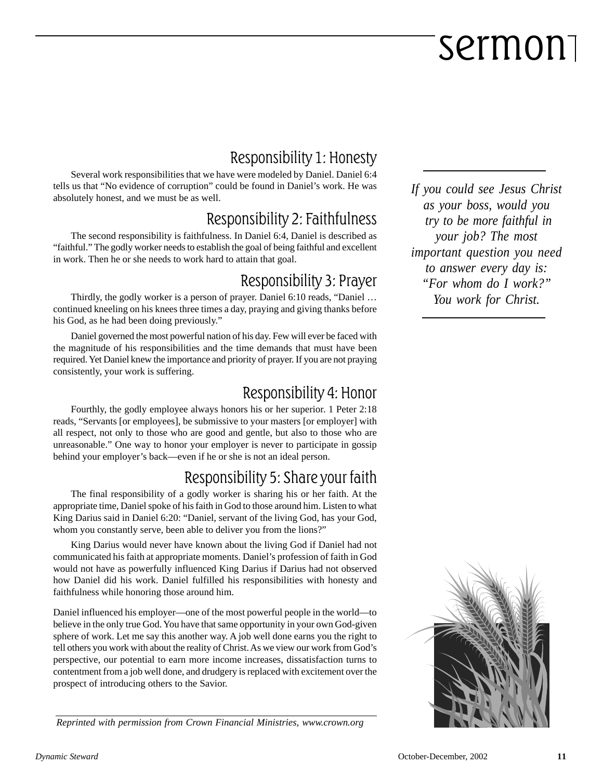#### Responsibility 1: Honesty

Several work responsibilities that we have were modeled by Daniel. Daniel 6:4 tells us that "No evidence of corruption" could be found in Daniel's work. He was absolutely honest, and we must be as well.

#### Responsibility 2: Faithfulness

The second responsibility is faithfulness. In Daniel 6:4, Daniel is described as "faithful." The godly worker needs to establish the goal of being faithful and excellent in work. Then he or she needs to work hard to attain that goal.

#### Responsibility 3: Prayer

Thirdly, the godly worker is a person of prayer. Daniel 6:10 reads, "Daniel … continued kneeling on his knees three times a day, praying and giving thanks before his God, as he had been doing previously."

Daniel governed the most powerful nation of his day. Few will ever be faced with the magnitude of his responsibilities and the time demands that must have been required. Yet Daniel knew the importance and priority of prayer. If you are not praying consistently, your work is suffering.

#### Responsibility 4: Honor

Fourthly, the godly employee always honors his or her superior. 1 Peter 2:18 reads, "Servants [or employees], be submissive to your masters [or employer] with all respect, not only to those who are good and gentle, but also to those who are unreasonable." One way to honor your employer is never to participate in gossip behind your employer's back—even if he or she is not an ideal person.

#### Responsibility 5: Share your faith

The final responsibility of a godly worker is sharing his or her faith. At the appropriate time, Daniel spoke of his faith in God to those around him. Listen to what King Darius said in Daniel 6:20: "Daniel, servant of the living God, has your God, whom you constantly serve, been able to deliver you from the lions?"

King Darius would never have known about the living God if Daniel had not communicated his faith at appropriate moments. Daniel's profession of faith in God would not have as powerfully influenced King Darius if Darius had not observed how Daniel did his work. Daniel fulfilled his responsibilities with honesty and faithfulness while honoring those around him.

Daniel influenced his employer—one of the most powerful people in the world—to believe in the only true God. You have that same opportunity in your own God-given sphere of work. Let me say this another way. A job well done earns you the right to tell others you work with about the reality of Christ. As we view our work from God's perspective, our potential to earn more income increases, dissatisfaction turns to contentment from a job well done, and drudgery is replaced with excitement over the prospect of introducing others to the Savior.

*Reprinted with permission from Crown Financial Ministries, www.crown.org*

*If you could see Jesus Christ as your boss, would you try to be more faithful in your job? The most important question you need to answer every day is: "For whom do I work?" You work for Christ.*

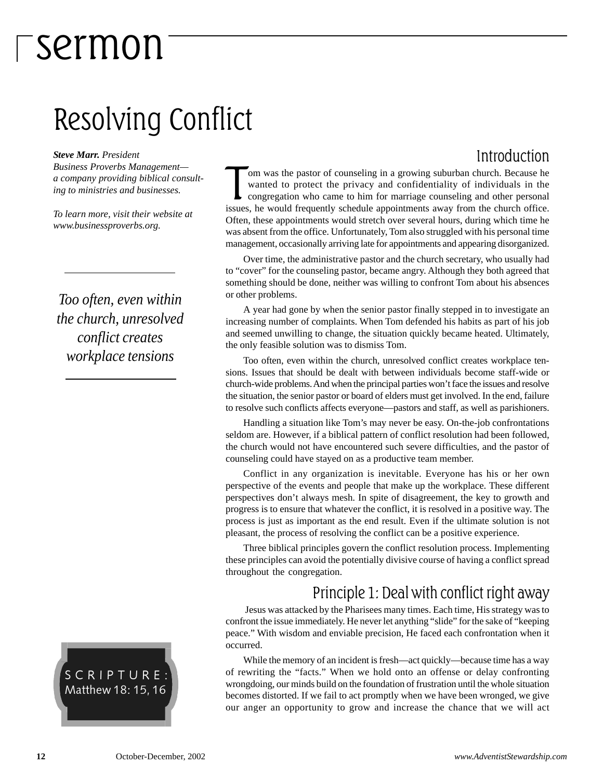### Resolving Conflict

*Steve Marr. President Business Proverbs Management a company providing biblical consulting to ministries and businesses.*

*To learn more, visit their website at www.businessproverbs.org.*

*Too often, even within the church, unresolved conflict creates workplace tensions*



#### Introduction

om was the pastor of counseling in a growing suburban church. Because he wanted to protect the privacy and confidentiality of individuals in the congregation who came to him for marriage counseling and other personal issue om was the pastor of counseling in a growing suburban church. Because he wanted to protect the privacy and confidentiality of individuals in the congregation who came to him for marriage counseling and other personal Often, these appointments would stretch over several hours, during which time he was absent from the office. Unfortunately, Tom also struggled with his personal time management, occasionally arriving late for appointments and appearing disorganized.

Over time, the administrative pastor and the church secretary, who usually had to "cover" for the counseling pastor, became angry. Although they both agreed that something should be done, neither was willing to confront Tom about his absences or other problems.

A year had gone by when the senior pastor finally stepped in to investigate an increasing number of complaints. When Tom defended his habits as part of his job and seemed unwilling to change, the situation quickly became heated. Ultimately, the only feasible solution was to dismiss Tom.

Too often, even within the church, unresolved conflict creates workplace tensions. Issues that should be dealt with between individuals become staff-wide or church-wide problems. And when the principal parties won't face the issues and resolve the situation, the senior pastor or board of elders must get involved. In the end, failure to resolve such conflicts affects everyone—pastors and staff, as well as parishioners.

Handling a situation like Tom's may never be easy. On-the-job confrontations seldom are. However, if a biblical pattern of conflict resolution had been followed, the church would not have encountered such severe difficulties, and the pastor of counseling could have stayed on as a productive team member.

Conflict in any organization is inevitable. Everyone has his or her own perspective of the events and people that make up the workplace. These different perspectives don't always mesh. In spite of disagreement, the key to growth and progress is to ensure that whatever the conflict, it is resolved in a positive way. The process is just as important as the end result. Even if the ultimate solution is not pleasant, the process of resolving the conflict can be a positive experience.

Three biblical principles govern the conflict resolution process. Implementing these principles can avoid the potentially divisive course of having a conflict spread throughout the congregation.

#### Principle 1: Deal with conflict right away

 Jesus was attacked by the Pharisees many times. Each time, His strategy was to confront the issue immediately. He never let anything "slide" for the sake of "keeping peace." With wisdom and enviable precision, He faced each confrontation when it occurred.

While the memory of an incident is fresh—act quickly—because time has a way of rewriting the "facts." When we hold onto an offense or delay confronting wrongdoing, our minds build on the foundation of frustration until the whole situation becomes distorted. If we fail to act promptly when we have been wronged, we give our anger an opportunity to grow and increase the chance that we will act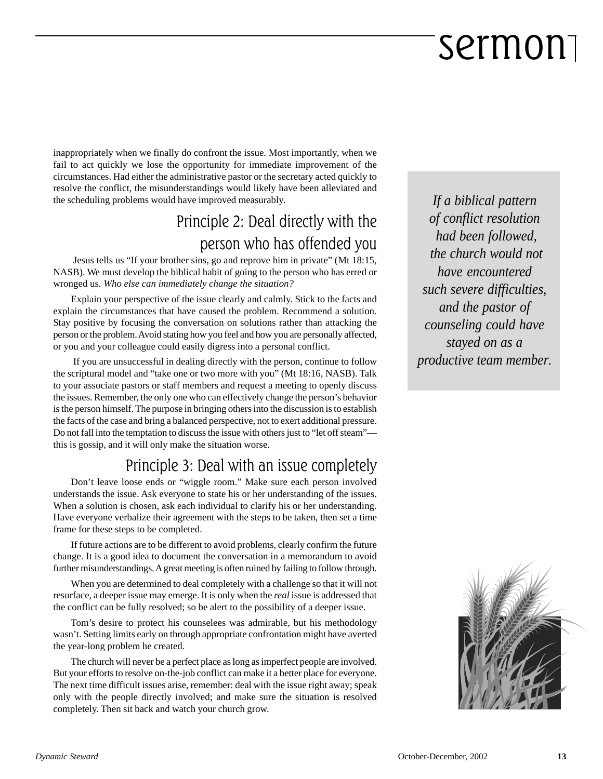inappropriately when we finally do confront the issue. Most importantly, when we fail to act quickly we lose the opportunity for immediate improvement of the circumstances. Had either the administrative pastor or the secretary acted quickly to resolve the conflict, the misunderstandings would likely have been alleviated and the scheduling problems would have improved measurably.

#### Principle 2: Deal directly with the person who has offended you

Jesus tells us "If your brother sins, go and reprove him in private" (Mt 18:15, NASB). We must develop the biblical habit of going to the person who has erred or wronged us. *Who else can immediately change the situation?*

Explain your perspective of the issue clearly and calmly. Stick to the facts and explain the circumstances that have caused the problem. Recommend a solution. Stay positive by focusing the conversation on solutions rather than attacking the person or the problem. Avoid stating how you feel and how you are personally affected, or you and your colleague could easily digress into a personal conflict.

 If you are unsuccessful in dealing directly with the person, continue to follow the scriptural model and "take one or two more with you" (Mt 18:16, NASB). Talk to your associate pastors or staff members and request a meeting to openly discuss the issues. Remember, the only one who can effectively change the person's behavior is the person himself. The purpose in bringing others into the discussion is to establish the facts of the case and bring a balanced perspective, not to exert additional pressure. Do not fall into the temptation to discuss the issue with others just to "let off steam" this is gossip, and it will only make the situation worse.

#### Principle 3: Deal with an issue completely

Don't leave loose ends or "wiggle room." Make sure each person involved understands the issue. Ask everyone to state his or her understanding of the issues. When a solution is chosen, ask each individual to clarify his or her understanding. Have everyone verbalize their agreement with the steps to be taken, then set a time frame for these steps to be completed.

If future actions are to be different to avoid problems, clearly confirm the future change. It is a good idea to document the conversation in a memorandum to avoid further misunderstandings. A great meeting is often ruined by failing to follow through.

When you are determined to deal completely with a challenge so that it will not resurface, a deeper issue may emerge. It is only when the *real* issue is addressed that the conflict can be fully resolved; so be alert to the possibility of a deeper issue.

Tom's desire to protect his counselees was admirable, but his methodology wasn't. Setting limits early on through appropriate confrontation might have averted the year-long problem he created.

The church will never be a perfect place as long as imperfect people are involved. But your efforts to resolve on-the-job conflict can make it a better place for everyone. The next time difficult issues arise, remember: deal with the issue right away; speak only with the people directly involved; and make sure the situation is resolved completely. Then sit back and watch your church grow.

*If a biblical pattern of conflict resolution had been followed, the church would not have encountered such severe difficulties, and the pastor of counseling could have stayed on as a productive team member.*

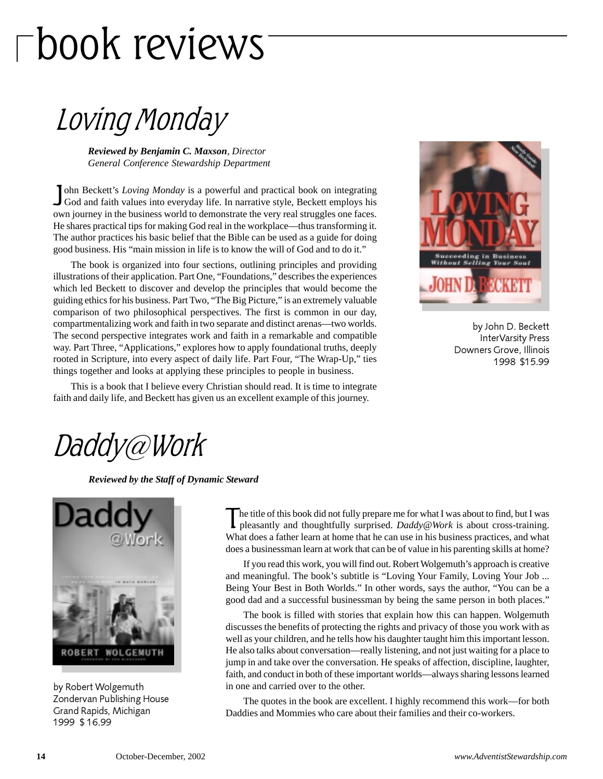# book reviews

Loving Monday

*Reviewed by Benjamin C. Maxson*, *Director General Conference Stewardship Department*

John Beckett's *Loving Monday* is a powerful and practical book on integrating God and faith values into everyday life. In narrative style, Beckett employs his ohn Beckett's *Loving Monday* is a powerful and practical book on integrating own journey in the business world to demonstrate the very real struggles one faces. He shares practical tips for making God real in the workplace—thus transforming it. The author practices his basic belief that the Bible can be used as a guide for doing good business. His "main mission in life is to know the will of God and to do it."

The book is organized into four sections, outlining principles and providing illustrations of their application. Part One, "Foundations," describes the experiences which led Beckett to discover and develop the principles that would become the guiding ethics for his business. Part Two, "The Big Picture," is an extremely valuable comparison of two philosophical perspectives. The first is common in our day, compartmentalizing work and faith in two separate and distinct arenas—two worlds. The second perspective integrates work and faith in a remarkable and compatible way. Part Three, "Applications," explores how to apply foundational truths, deeply rooted in Scripture, into every aspect of daily life. Part Four, "The Wrap-Up," ties things together and looks at applying these principles to people in business.



by John D. Beckett InterVarsity Press Downers Grove, Illinois 1998 \$15.99

This is a book that I believe every Christian should read. It is time to integrate faith and daily life, and Beckett has given us an excellent example of this journey.

### Daddy@Work

*Reviewed by the Staff of Dynamic Steward*



by Robert Wolgemuth Zondervan Publishing House Grand Rapids, Michigan 1999 \$ 16.99

The title of this book did not fully prepare me for what I was about to find, but I was pleasantly and thoughtfully surprised. *Daddy@Work* is about cross-training. What does a father learn at home that he can use in his business practices, and what does a businessman learn at work that can be of value in his parenting skills at home?

If you read this work, you will find out. Robert Wolgemuth's approach is creative and meaningful. The book's subtitle is "Loving Your Family, Loving Your Job ... Being Your Best in Both Worlds." In other words, says the author, "You can be a good dad and a successful businessman by being the same person in both places."

The book is filled with stories that explain how this can happen. Wolgemuth discusses the benefits of protecting the rights and privacy of those you work with as well as your children, and he tells how his daughter taught him this important lesson. He also talks about conversation—really listening, and not just waiting for a place to jump in and take over the conversation. He speaks of affection, discipline, laughter, faith, and conduct in both of these important worlds—always sharing lessons learned in one and carried over to the other.

The quotes in the book are excellent. I highly recommend this work—for both Daddies and Mommies who care about their families and their co-workers.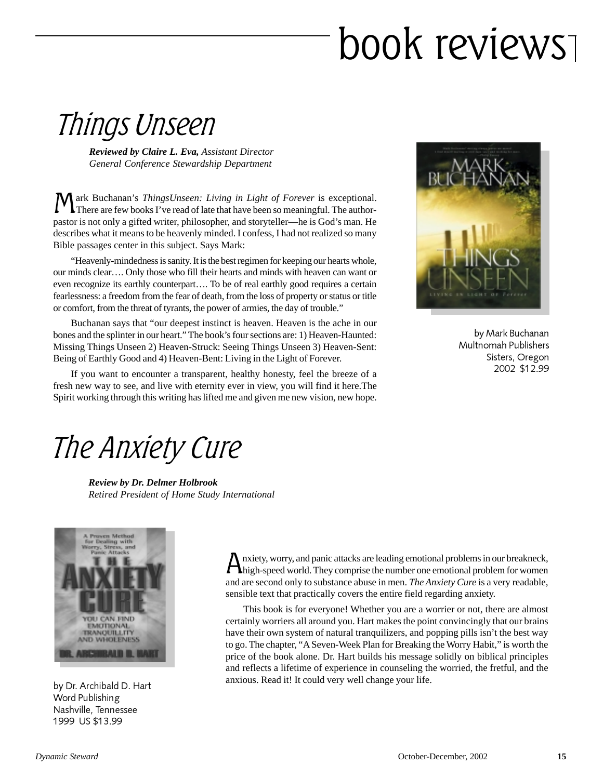# book reviews

### Things Unseen

*Reviewed by Claire L. Eva, Assistant Director General Conference Stewardship Department*

Mark Buchanan's *ThingsUnseen: Living in Light of Forever* is exceptional.<br>There are few books I've read of late that have been so meaningful. The authorpastor is not only a gifted writer, philosopher, and storyteller—he is God's man. He describes what it means to be heavenly minded. I confess, I had not realized so many Bible passages center in this subject. Says Mark:

"Heavenly-mindedness is sanity. It is the best regimen for keeping our hearts whole, our minds clear…. Only those who fill their hearts and minds with heaven can want or even recognize its earthly counterpart…. To be of real earthly good requires a certain fearlessness: a freedom from the fear of death, from the loss of property or status or title or comfort, from the threat of tyrants, the power of armies, the day of trouble."

Buchanan says that "our deepest instinct is heaven. Heaven is the ache in our bones and the splinter in our heart." The book's four sections are: 1) Heaven-Haunted: Missing Things Unseen 2) Heaven-Struck: Seeing Things Unseen 3) Heaven-Sent: Being of Earthly Good and 4) Heaven-Bent: Living in the Light of Forever.

If you want to encounter a transparent, healthy honesty, feel the breeze of a fresh new way to see, and live with eternity ever in view, you will find it here.The Spirit working through this writing has lifted me and given me new vision, new hope.



by Mark Buchanan Multnomah Publishers Sisters, Oregon 2002 \$12.99

### The Anxiety Cure

*Review by Dr. Delmer Holbrook Retired President of Home Study International*



by Dr. Archibald D. Hart Word Publishing Nashville, Tennessee 1999 US \$13.99

Anxiety, worry, and panic attacks are leading emotional problems in our breakneck, high-speed world. They comprise the number one emotional problem for women and are second only to substance abuse in men. *The Anxiety Cure* is a very readable, sensible text that practically covers the entire field regarding anxiety.

This book is for everyone! Whether you are a worrier or not, there are almost certainly worriers all around you. Hart makes the point convincingly that our brains have their own system of natural tranquilizers, and popping pills isn't the best way to go. The chapter, "A Seven-Week Plan for Breaking the Worry Habit," is worth the price of the book alone. Dr. Hart builds his message solidly on biblical principles and reflects a lifetime of experience in counseling the worried, the fretful, and the anxious. Read it! It could very well change your life.